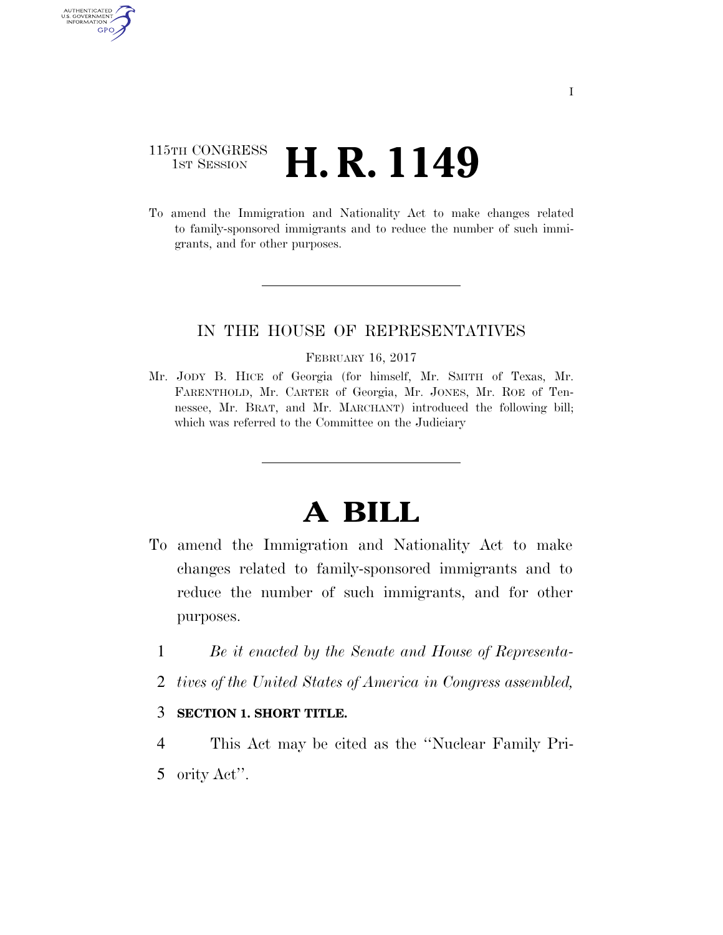### 115TH CONGRESS <sup>TH CONGRESS</sup> **H. R. 1149**

AUTHENTICATED<br>U.S. GOVERNMENT<br>INFORMATION GPO

> To amend the Immigration and Nationality Act to make changes related to family-sponsored immigrants and to reduce the number of such immigrants, and for other purposes.

#### IN THE HOUSE OF REPRESENTATIVES

#### FEBRUARY 16, 2017

Mr. JODY B. HICE of Georgia (for himself, Mr. SMITH of Texas, Mr. FARENTHOLD, Mr. CARTER of Georgia, Mr. JONES, Mr. ROE of Tennessee, Mr. BRAT, and Mr. MARCHANT) introduced the following bill; which was referred to the Committee on the Judiciary

# **A BILL**

- To amend the Immigration and Nationality Act to make changes related to family-sponsored immigrants and to reduce the number of such immigrants, and for other purposes.
	- 1 *Be it enacted by the Senate and House of Representa-*
	- 2 *tives of the United States of America in Congress assembled,*

#### 3 **SECTION 1. SHORT TITLE.**

4 This Act may be cited as the ''Nuclear Family Pri-5 ority Act''.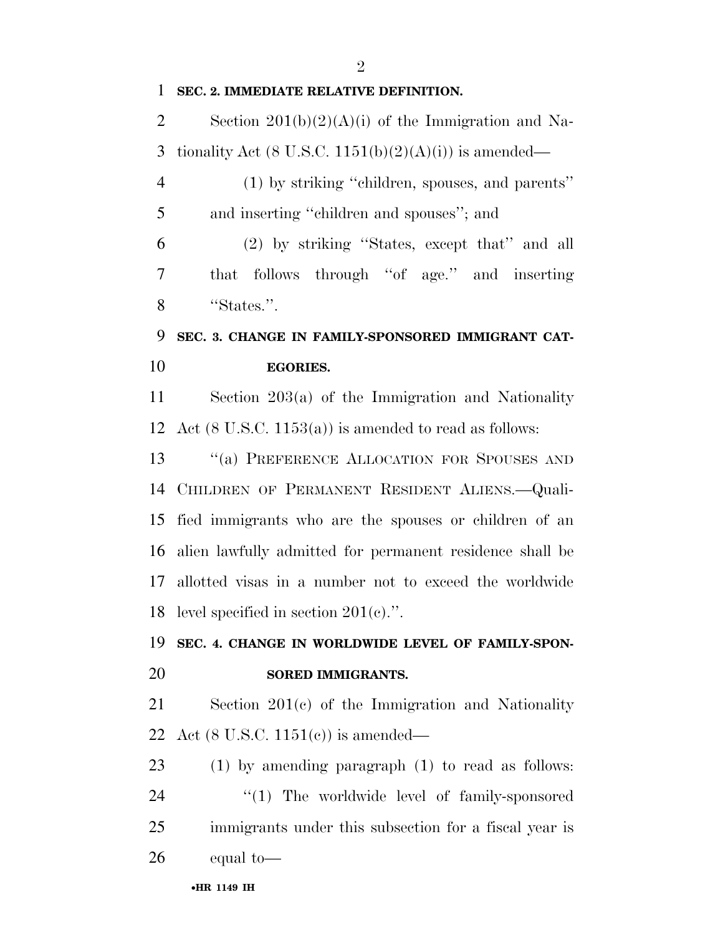$\mathfrak{D}$ 

#### **SEC. 2. IMMEDIATE RELATIVE DEFINITION.**

2 Section  $201(b)(2)(A)(i)$  of the Immigration and Na-3 tionality Act (8 U.S.C.  $1151(b)(2)(A)(i)$ ) is amended—

 (1) by striking ''children, spouses, and parents'' and inserting ''children and spouses''; and

 (2) by striking ''States, except that'' and all that follows through ''of age.'' and inserting ''States.''.

### **SEC. 3. CHANGE IN FAMILY-SPONSORED IMMIGRANT CAT-EGORIES.**

 Section 203(a) of the Immigration and Nationality 12 Act  $(8 \text{ U.S.C. } 1153(a))$  is amended to read as follows:

13 "(a) PREFERENCE ALLOCATION FOR SPOUSES AND CHILDREN OF PERMANENT RESIDENT ALIENS.—Quali- fied immigrants who are the spouses or children of an alien lawfully admitted for permanent residence shall be allotted visas in a number not to exceed the worldwide level specified in section 201(c).''.

## **SEC. 4. CHANGE IN WORLDWIDE LEVEL OF FAMILY-SPON-SORED IMMIGRANTS.**

 Section 201(c) of the Immigration and Nationality Act (8 U.S.C. 1151(c)) is amended—

 (1) by amending paragraph (1) to read as follows:  $\frac{1}{2}$  The worldwide level of family-sponsored immigrants under this subsection for a fiscal year is equal to—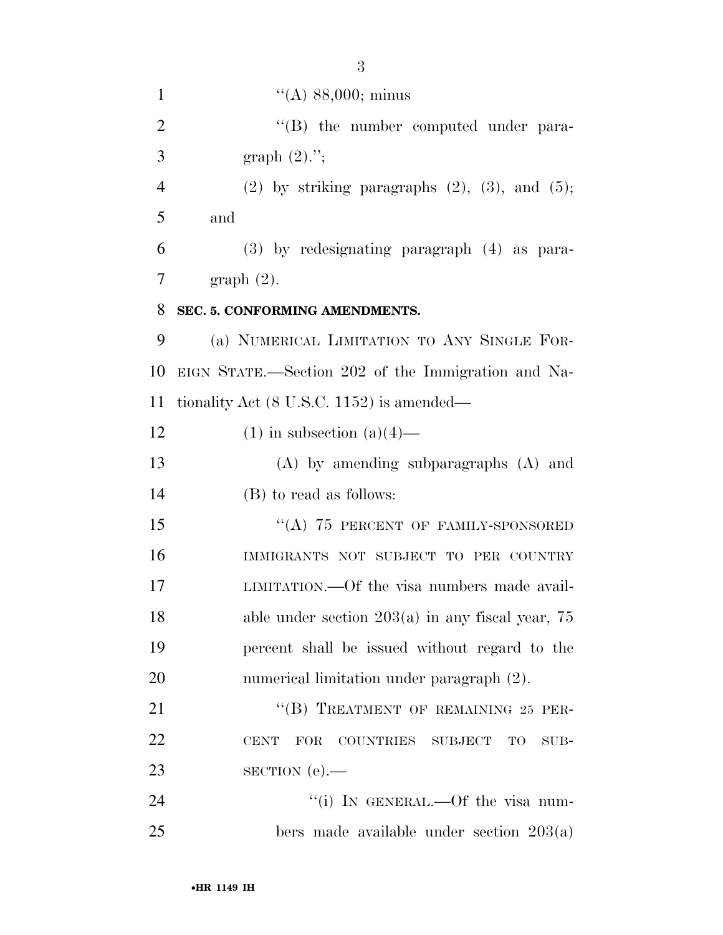| $\mathbf{1}$   | $\lq($ A) 88,000; minus                                  |
|----------------|----------------------------------------------------------|
| $\overline{2}$ | $\lq\lq (B)$ the number computed under para-             |
| 3              | graph $(2)$ .";                                          |
| $\overline{4}$ | $(2)$ by striking paragraphs $(2)$ , $(3)$ , and $(5)$ ; |
| 5              | and                                                      |
| 6              | (3) by redesignating paragraph (4) as para-              |
| 7              | $graph(2)$ .                                             |
| 8              | SEC. 5. CONFORMING AMENDMENTS.                           |
| 9              | (a) NUMERICAL LIMITATION TO ANY SINGLE FOR-              |
| 10             | EIGN STATE.—Section 202 of the Immigration and Na-       |
| 11             | tionality Act $(8 \text{ U.S.C. } 1152)$ is amended—     |
| 12             | $(1)$ in subsection $(a)(4)$ —                           |
| 13             | $(A)$ by amending subparagraphs $(A)$ and                |
| 14             | (B) to read as follows:                                  |
| 15             | "(A) $75$ PERCENT OF FAMILY-SPONSORED                    |
| 16             | IMMIGRANTS NOT SUBJECT TO PER COUNTRY                    |
| 17             | LIMITATION.—Of the visa numbers made avail-              |
| 18             | able under section $203(a)$ in any fiscal year, 75       |
| 19             | percent shall be issued without regard to the            |
| 20             | numerical limitation under paragraph (2).                |
| 21             | "(B) TREATMENT OF REMAINING 25 PER-                      |
| 22             | <b>CENT</b><br>FOR<br>COUNTRIES SUBJECT<br>TO<br>SUB-    |
| 23             | $SECTION (e)$ .                                          |
| 24             | "(i) IN GENERAL.—Of the visa num-                        |
| 25             | bers made available under section $203(a)$               |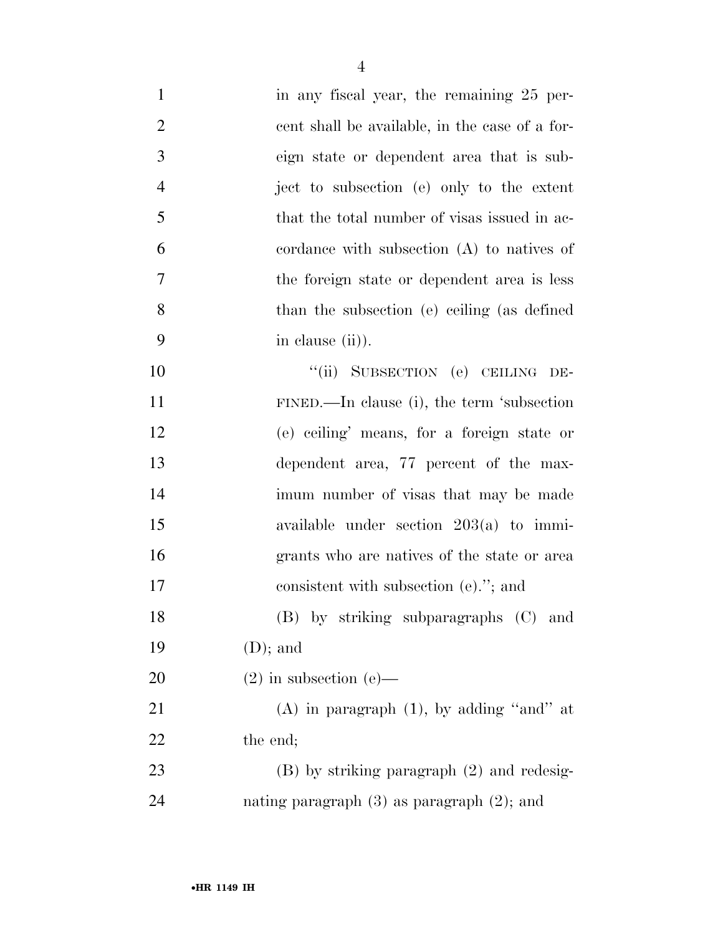| $\mathbf{1}$   | in any fiscal year, the remaining 25 per-       |
|----------------|-------------------------------------------------|
| $\overline{2}$ | cent shall be available, in the case of a for-  |
| 3              | eign state or dependent area that is sub-       |
| $\overline{4}$ | ject to subsection (e) only to the extent       |
| 5              | that the total number of visas issued in ac-    |
| 6              | cordance with subsection $(A)$ to natives of    |
| 7              | the foreign state or dependent area is less     |
| 8              | than the subsection (e) ceiling (as defined     |
| 9              | in clause (ii).                                 |
| 10             | "(ii) SUBSECTION (e) CEILING DE-                |
| 11             | FINED.—In clause (i), the term 'subsection      |
| 12             | (e) ceiling' means, for a foreign state or      |
| 13             | dependent area, 77 percent of the max-          |
| 14             | imum number of visas that may be made           |
| 15             | available under section $203(a)$ to immi-       |
| 16             | grants who are natives of the state or area     |
| 17             | consistent with subsection (e)."; and           |
| 18             | (B) by striking subparagraphs (C) and           |
| 19             | $(D)$ ; and                                     |
| 20             | $(2)$ in subsection $(e)$ —                     |
| 21             | (A) in paragraph $(1)$ , by adding "and" at     |
| 22             | the end;                                        |
| 23             | $(B)$ by striking paragraph $(2)$ and redesig-  |
| 24             | nating paragraph $(3)$ as paragraph $(2)$ ; and |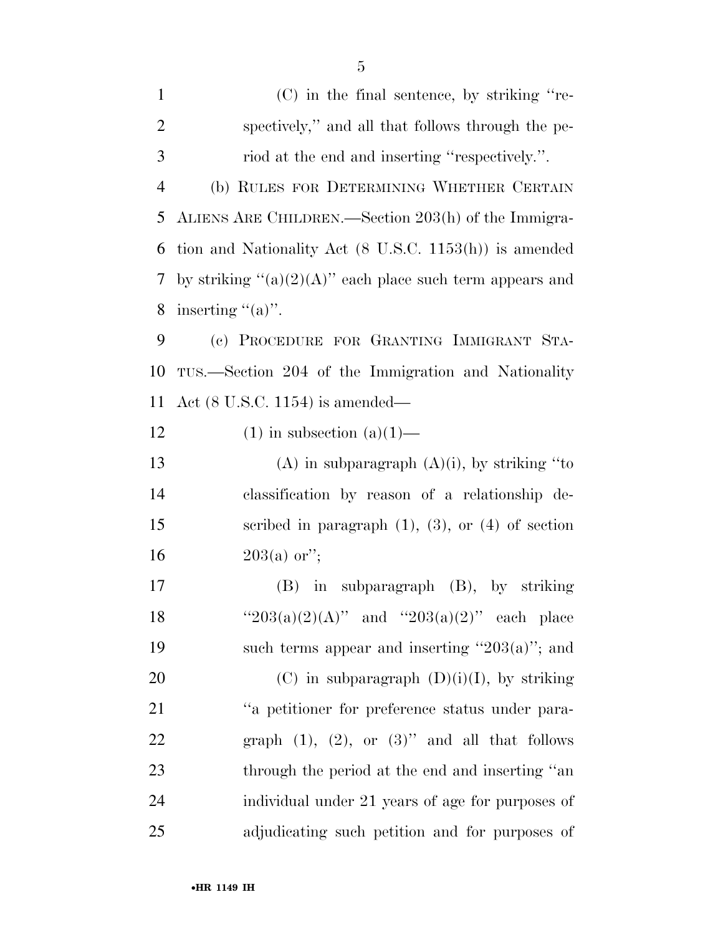(C) in the final sentence, by striking ''re- spectively,'' and all that follows through the pe- riod at the end and inserting ''respectively.''. (b) RULES FOR DETERMINING WHETHER CERTAIN ALIENS ARE CHILDREN.—Section 203(h) of the Immigra- tion and Nationality Act (8 U.S.C. 1153(h)) is amended 7 by striking " $(a)(2)(A)$ " each place such term appears and 8 inserting  $((a))$ . (c) PROCEDURE FOR GRANTING IMMIGRANT STA- TUS.—Section 204 of the Immigration and Nationality Act (8 U.S.C. 1154) is amended— 12 (1) in subsection  $(a)(1)$ — 13 (A) in subparagraph  $(A)(i)$ , by striking "to classification by reason of a relationship de- scribed in paragraph (1), (3), or (4) of section  $203(a)$  or";

17 (B) in subparagraph (B), by striking 18 '' $203(a)(2)(A)$ " and '' $203(a)(2)$ " each place 19 such terms appear and inserting  $"203(a)"$ ; and 20 (C) in subparagraph  $(D)(i)(I)$ , by striking 21 ''a petitioner for preference status under para-22 graph  $(1)$ ,  $(2)$ , or  $(3)$ " and all that follows 23 through the period at the end and inserting "an 24 individual under 21 years of age for purposes of 25 adjudicating such petition and for purposes of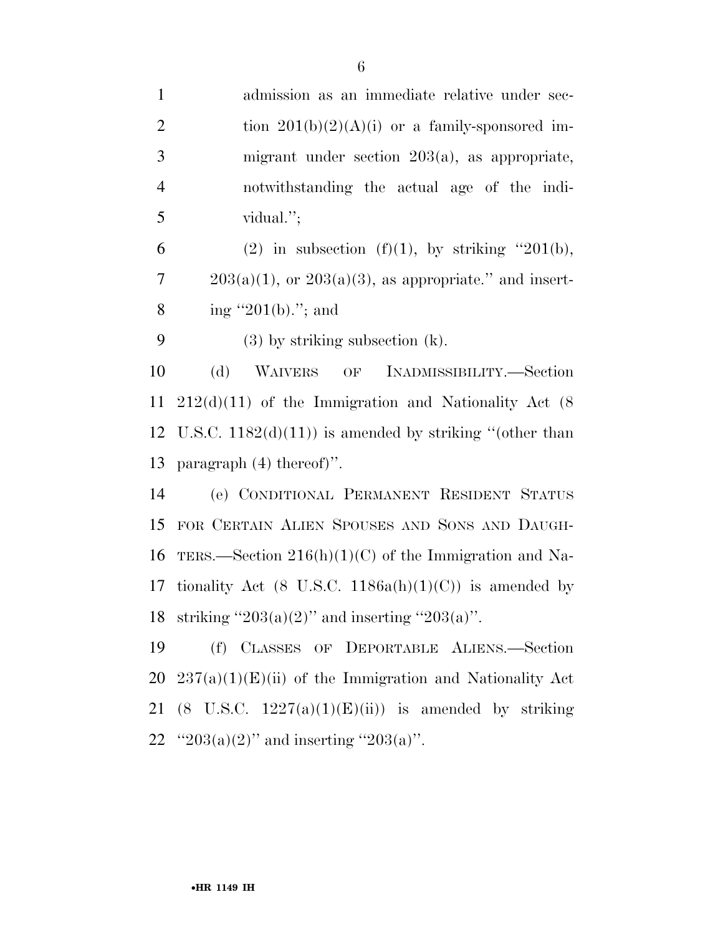| $\mathbf{1}$   | admission as an immediate relative under sec-                  |
|----------------|----------------------------------------------------------------|
| $\overline{2}$ | tion $201(b)(2)(A)(i)$ or a family-sponsored im-               |
| 3              | migrant under section $203(a)$ , as appropriate,               |
| $\overline{4}$ | notwithstanding the actual age of the indi-                    |
| 5              | vidual.";                                                      |
| 6              | (2) in subsection (f)(1), by striking "201(b),                 |
| $\overline{7}$ | $203(a)(1)$ , or $203(a)(3)$ , as appropriate." and insert-    |
| 8              | ing "201(b)."; and                                             |
| 9              | $(3)$ by striking subsection $(k)$ .                           |
| 10             | (d)<br>WAIVERS OF INADMISSIBILITY.—Section                     |
| 11             | $212(d)(11)$ of the Immigration and Nationality Act (8)        |
|                | 12 U.S.C. $1182(d)(11)$ is amended by striking "(other than    |
| 13             | paragraph $(4)$ thereof)".                                     |
| 14             | (e) CONDITIONAL PERMANENT RESIDENT STATUS                      |
|                | 15 FOR CERTAIN ALIEN SPOUSES AND SONS AND DAUGH-               |
|                | 16 TERS.—Section $216(h)(1)(C)$ of the Immigration and Na-     |
| 17             | tionality Act (8 U.S.C. 1186a(h)(1)(C)) is amended by          |
|                | 18 striking "203(a)(2)" and inserting "203(a)".                |
| 19             | CLASSES OF DEPORTABLE ALIENS.-Section<br>(f)                   |
| 20             | $237(a)(1)(E)(ii)$ of the Immigration and Nationality Act      |
| 21             | $(8 \text{ U.S.C. } 1227(a)(1)(E)(ii))$ is amended by striking |
|                | 22 "203(a)(2)" and inserting "203(a)".                         |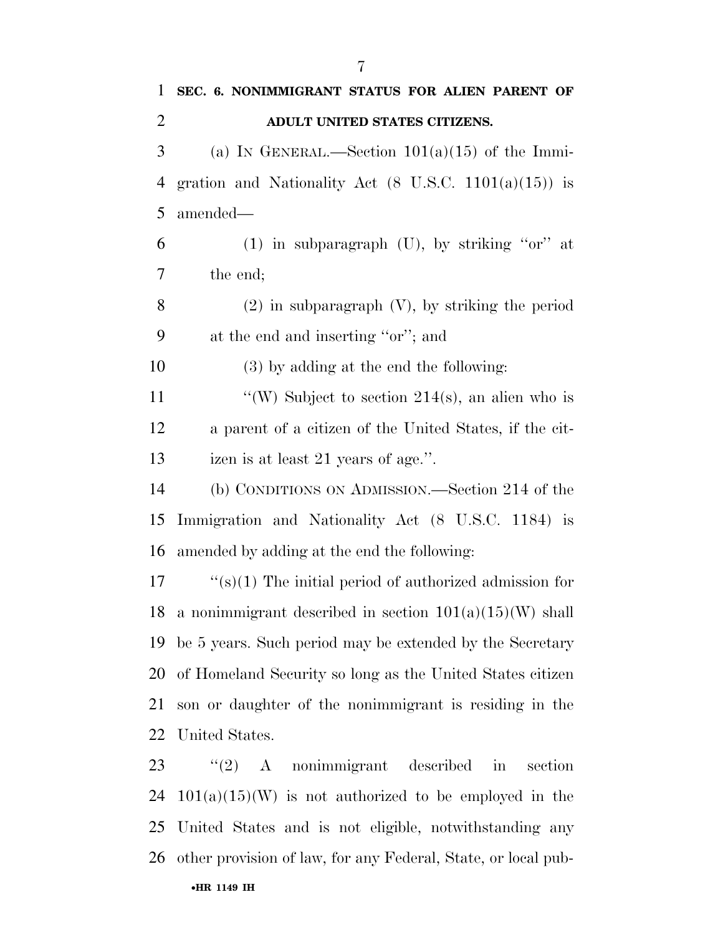| 1              | SEC. 6. NONIMMIGRANT STATUS FOR ALIEN PARENT OF                  |
|----------------|------------------------------------------------------------------|
| $\overline{2}$ | ADULT UNITED STATES CITIZENS.                                    |
| 3              | (a) IN GENERAL.—Section $101(a)(15)$ of the Immi-                |
| 4              | gration and Nationality Act $(8 \text{ U.S.C. } 1101(a)(15))$ is |
| 5              | amended—                                                         |
| 6              | $(1)$ in subparagraph $(U)$ , by striking "or" at                |
| 7              | the end;                                                         |
| 8              | $(2)$ in subparagraph $(V)$ , by striking the period             |
| 9              | at the end and inserting "or"; and                               |
| 10             | (3) by adding at the end the following:                          |
| 11             | "(W) Subject to section $214(s)$ , an alien who is               |
| 12             | a parent of a citizen of the United States, if the cit-          |
| 13             | izen is at least 21 years of age.".                              |
| 14             | (b) CONDITIONS ON ADMISSION.—Section 214 of the                  |
| 15             | Immigration and Nationality Act (8 U.S.C. 1184) is               |
| 16             | amended by adding at the end the following:                      |
| 17             | " $(s)(1)$ The initial period of authorized admission for        |
|                | 18 a nonimmigrant described in section $101(a)(15)(W)$ shall     |
| 19             | be 5 years. Such period may be extended by the Secretary         |
| 20             | of Homeland Security so long as the United States citizen        |
| 21             | son or daughter of the nonimmigrant is residing in the           |
| 22             | United States.                                                   |
| 23             | $(2)$ A nonimmigrant described in<br>section                     |
| 24             | $101(a)(15)(W)$ is not authorized to be employed in the          |
| 25             | United States and is not eligible, notwithstanding any           |
| 26             | other provision of law, for any Federal, State, or local pub-    |
|                | •HR 1149 IH                                                      |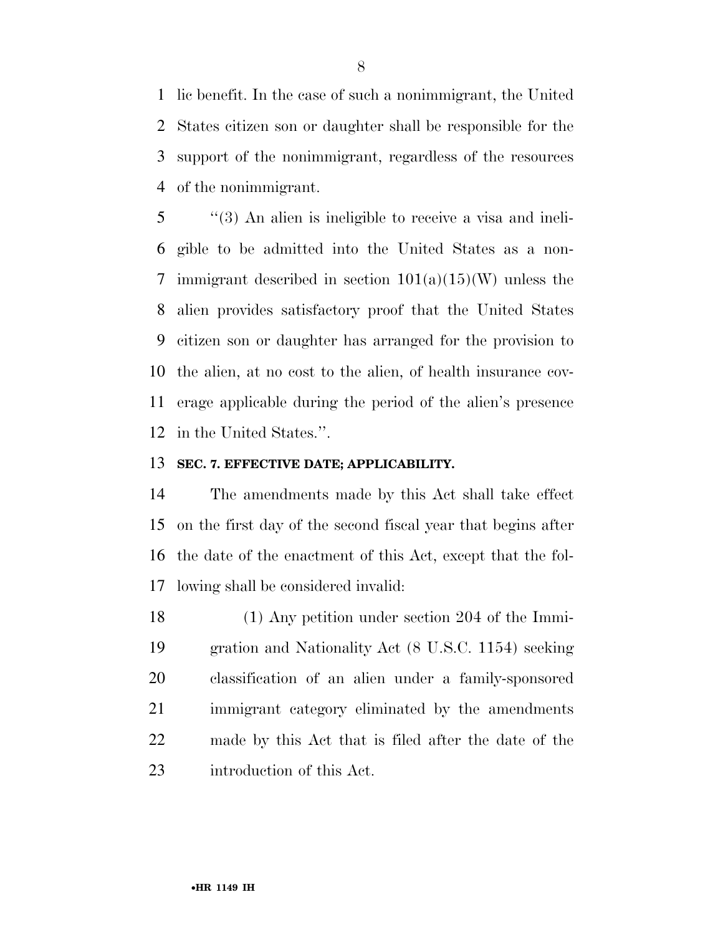lic benefit. In the case of such a nonimmigrant, the United States citizen son or daughter shall be responsible for the support of the nonimmigrant, regardless of the resources of the nonimmigrant.

 ''(3) An alien is ineligible to receive a visa and ineli- gible to be admitted into the United States as a non-7 immigrant described in section  $101(a)(15)(W)$  unless the alien provides satisfactory proof that the United States citizen son or daughter has arranged for the provision to the alien, at no cost to the alien, of health insurance cov- erage applicable during the period of the alien's presence in the United States.''.

#### **SEC. 7. EFFECTIVE DATE; APPLICABILITY.**

 The amendments made by this Act shall take effect on the first day of the second fiscal year that begins after the date of the enactment of this Act, except that the fol-lowing shall be considered invalid:

 (1) Any petition under section 204 of the Immi- gration and Nationality Act (8 U.S.C. 1154) seeking classification of an alien under a family-sponsored immigrant category eliminated by the amendments made by this Act that is filed after the date of the introduction of this Act.